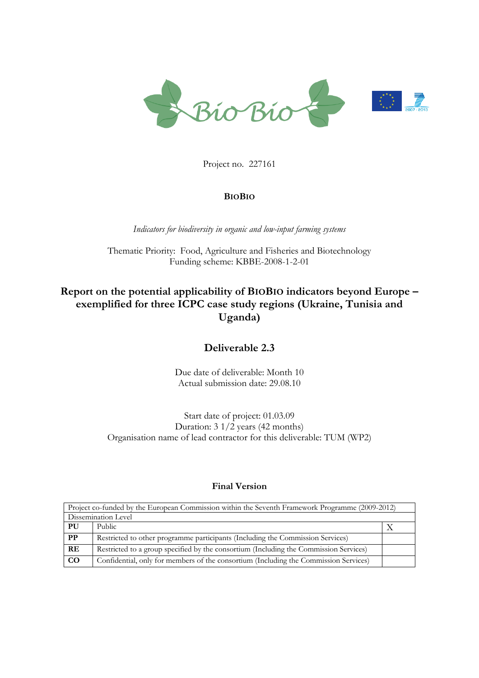

Project no. 227161

# **BIOBIO**

*Indicators for biodiversity in organic and low-input farming systems*

Thematic Priority: Food, Agriculture and Fisheries and Biotechnology Funding scheme: KBBE-2008-1-2-01

# **Report on the potential applicability of BIOBIO indicators beyond Europe – exemplified for three ICPC case study regions (Ukraine, Tunisia and Uganda)**

# **Deliverable 2.3**

Due date of deliverable: Month 10 Actual submission date: 29.08.10

Start date of project: 01.03.09 Duration: 3 1/2 years (42 months) Organisation name of lead contractor for this deliverable: TUM (WP2)

## **Final Version**

| Project co-funded by the European Commission within the Seventh Framework Programme (2009-2012) |                                                                                       |  |  |  |
|-------------------------------------------------------------------------------------------------|---------------------------------------------------------------------------------------|--|--|--|
| Dissemination Level                                                                             |                                                                                       |  |  |  |
| PU                                                                                              | Public                                                                                |  |  |  |
| PP                                                                                              | Restricted to other programme participants (Including the Commission Services)        |  |  |  |
| <b>RE</b>                                                                                       | Restricted to a group specified by the consortium (Including the Commission Services) |  |  |  |
| $_{\rm CO}$                                                                                     | Confidential, only for members of the consortium (Including the Commission Services)  |  |  |  |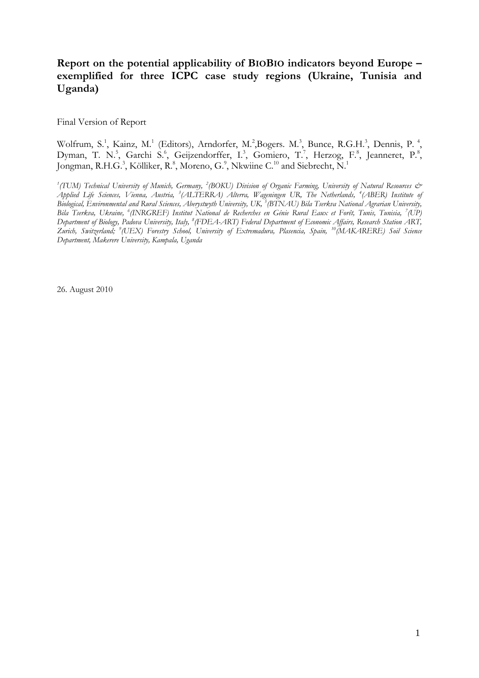# **Report on the potential applicability of BIOBIO indicators beyond Europe – exemplified for three ICPC case study regions (Ukraine, Tunisia and Uganda)**

Final Version of Report

Wolfrum, S.<sup>1</sup>, Kainz, M.<sup>1</sup> (Editors), Arndorfer, M.<sup>2</sup>, Bogers. M.<sup>3</sup>, Bunce, R.G.H.<sup>3</sup>, Dennis, P.<sup>4</sup>, Dyman, T. N.<sup>5</sup>, Garchi S.<sup>6</sup>, Geijzendorffer, I.<sup>3</sup>, Gomiero, T.<sup>7</sup>, Herzog, F.<sup>8</sup>, Jeanneret, P.<sup>8</sup>, Jongman, R.H.G.<sup>3</sup>, Kölliker, R.<sup>8</sup>, Moreno, G.<sup>9</sup>, Nkwiine C.<sup>10</sup> and Siebrecht, N.<sup>1</sup>

<sup>1</sup> (TUM) Technical University of Munich, Germany, <sup>2</sup> (BOKU) Division of Organic Farming, University of Natural Resources & *Applied Life Sciences, Vienna, Austria, <sup>3</sup> (ALTERRA) Alterra, Wageningen UR, The Netherlands, <sup>4</sup> (ABER) Institute of*  Biological, Environmental and Rural Sciences, Aberystwyth University, UK, <sup>5</sup> (BTNAU) Bila Tserkva National Agrarian University, *Bila Tserkva, Ukraine, <sup>6</sup> (INRGREF) Institut National de Recherches en Génie Rural Eaux et Forêt, Tunis, Tunisia, <sup>7</sup> (UP) Department of Biology, Padova University, Italy, <sup>8</sup> (FDEA-ART) Federal Department of Economic Affairs, Research Station ART, Zurich, Switzerland; 9 (UEX) Forestry School, University of Extremadura, Plasencia, Spain, <sup>10</sup>(MAKARERE) Soil Science Department, Makerere University, Kampala, Uganda*

26. August 2010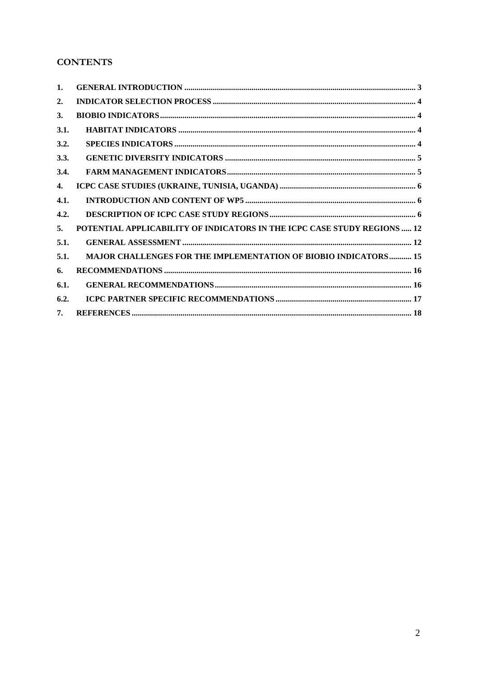# **CONTENTS**

| 1.               |                                                                          |
|------------------|--------------------------------------------------------------------------|
| $\overline{2}$ . |                                                                          |
| 3.               |                                                                          |
| 3.1.             |                                                                          |
| 3.2.             |                                                                          |
| 3.3.             |                                                                          |
| 3.4.             |                                                                          |
| 4.               |                                                                          |
| 4.1.             |                                                                          |
| 4.2.             |                                                                          |
| 5.               | POTENTIAL APPLICABILITY OF INDICATORS IN THE ICPC CASE STUDY REGIONS  12 |
| 5.1.             |                                                                          |
| 5.1.             | <b>MAJOR CHALLENGES FOR THE IMPLEMENTATION OF BIOBIO INDICATORS 15</b>   |
| 6.               |                                                                          |
| 6.1.             |                                                                          |
| 6.2.             |                                                                          |
| 7.               |                                                                          |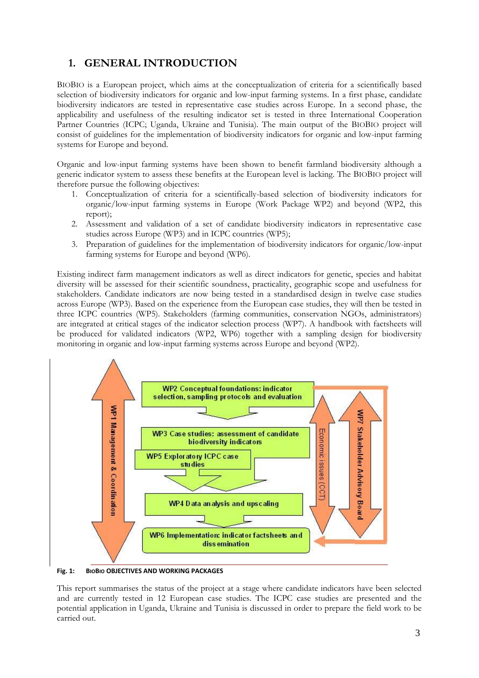# <span id="page-3-0"></span>**1. GENERAL INTRODUCTION**

BIOBIO is a European project, which aims at the conceptualization of criteria for a scientifically based selection of biodiversity indicators for organic and low-input farming systems. In a first phase, candidate biodiversity indicators are tested in representative case studies across Europe. In a second phase, the applicability and usefulness of the resulting indicator set is tested in three International Cooperation Partner Countries (ICPC; Uganda, Ukraine and Tunisia). The main output of the BIOBIO project will consist of guidelines for the implementation of biodiversity indicators for organic and low-input farming systems for Europe and beyond.

Organic and low-input farming systems have been shown to benefit farmland biodiversity although a generic indicator system to assess these benefits at the European level is lacking. The BIOBIO project will therefore pursue the following objectives:

- 1. Conceptualization of criteria for a scientifically-based selection of biodiversity indicators for organic/low-input farming systems in Europe (Work Package WP2) and beyond (WP2, this report);
- 2. Assessment and validation of a set of candidate biodiversity indicators in representative case studies across Europe (WP3) and in ICPC countries (WP5);
- 3. Preparation of guidelines for the implementation of biodiversity indicators for organic/low-input farming systems for Europe and beyond (WP6).

Existing indirect farm management indicators as well as direct indicators for genetic, species and habitat diversity will be assessed for their scientific soundness, practicality, geographic scope and usefulness for stakeholders. Candidate indicators are now being tested in a standardised design in twelve case studies across Europe (WP3). Based on the experience from the European case studies, they will then be tested in three ICPC countries (WP5). Stakeholders (farming communities, conservation NGOs, administrators) are integrated at critical stages of the indicator selection process (WP7). A handbook with factsheets will be produced for validated indicators (WP2, WP6) together with a sampling design for biodiversity monitoring in organic and low-input farming systems across Europe and beyond (WP2).



**Fig. 1: BIOBIO OBJECTIVES AND WORKING PACKAGES**

This report summarises the status of the project at a stage where candidate indicators have been selected and are currently tested in 12 European case studies. The ICPC case studies are presented and the potential application in Uganda, Ukraine and Tunisia is discussed in order to prepare the field work to be carried out.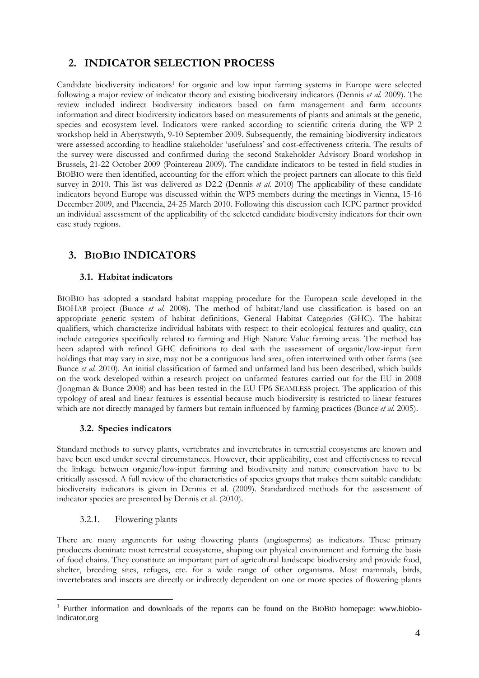# <span id="page-4-0"></span>**2. INDICATOR SELECTION PROCESS**

Candidate biodiversity indicators<sup>1</sup> for organic and low input farming systems in Europe were selected following a major review of indicator theory and existing biodiversity indicators (Dennis *et al.* 2009). The review included indirect biodiversity indicators based on farm management and farm accounts information and direct biodiversity indicators based on measurements of plants and animals at the genetic, species and ecosystem level. Indicators were ranked according to scientific criteria during the WP 2 workshop held in Aberystwyth, 9-10 September 2009. Subsequently, the remaining biodiversity indicators were assessed according to headline stakeholder "usefulness" and cost-effectiveness criteria. The results of the survey were discussed and confirmed during the second Stakeholder Advisory Board workshop in Brussels, 21-22 October 2009 (Pointereau 2009). The candidate indicators to be tested in field studies in BIOBIO were then identified, accounting for the effort which the project partners can allocate to this field survey in 2010. This list was delivered as D2.2 (Dennis *et al.* 2010) The applicability of these candidate indicators beyond Europe was discussed within the WP5 members during the meetings in Vienna, 15-16 December 2009, and Placencia, 24-25 March 2010. Following this discussion each ICPC partner provided an individual assessment of the applicability of the selected candidate biodiversity indicators for their own case study regions.

# <span id="page-4-1"></span>**3. BIOBIO INDICATORS**

## **3.1. Habitat indicators**

<span id="page-4-2"></span>BIOBIO has adopted a standard habitat mapping procedure for the European scale developed in the BIOHAB project (Bunce *et al.* 2008). The method of habitat/land use classification is based on an appropriate generic system of habitat definitions, General Habitat Categories (GHC). The habitat qualifiers, which characterize individual habitats with respect to their ecological features and quality, can include categories specifically related to farming and High Nature Value farming areas. The method has been adapted with refined GHC definitions to deal with the assessment of organic/low-input farm holdings that may vary in size, may not be a contiguous land area, often intertwined with other farms (see Bunce *et al.* 2010). An initial classification of farmed and unfarmed land has been described, which builds on the work developed within a research project on unfarmed features carried out for the EU in 2008 (Jongman & Bunce 2008) and has been tested in the EU FP6 SEAMLESS project. The application of this typology of areal and linear features is essential because much biodiversity is restricted to linear features which are not directly managed by farmers but remain influenced by farming practices (Bunce *et al.* 2005).

## **3.2. Species indicators**

<span id="page-4-3"></span>Standard methods to survey plants, vertebrates and invertebrates in terrestrial ecosystems are known and have been used under several circumstances. However, their applicability, cost and effectiveness to reveal the linkage between organic/low-input farming and biodiversity and nature conservation have to be critically assessed. A full review of the characteristics of species groups that makes them suitable candidate biodiversity indicators is given in Dennis et al. (2009). Standardized methods for the assessment of indicator species are presented by Dennis et al. (2010).

### 3.2.1. Flowering plants

1

There are many arguments for using flowering plants (angiosperms) as indicators. These primary producers dominate most terrestrial ecosystems, shaping our physical environment and forming the basis of food chains. They constitute an important part of agricultural landscape biodiversity and provide food, shelter, breeding sites, refuges, etc. for a wide range of other organisms. Most mammals, birds, invertebrates and insects are directly or indirectly dependent on one or more species of flowering plants

<sup>&</sup>lt;sup>1</sup> Further information and downloads of the reports can be found on the BIOBIO homepage: www.biobioindicator.org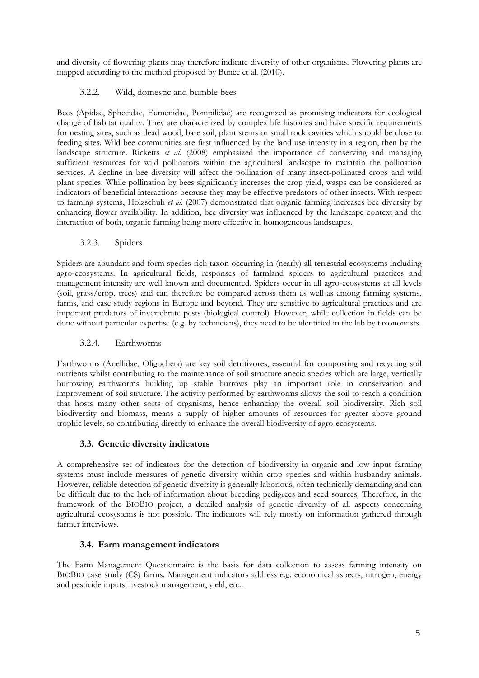and diversity of flowering plants may therefore indicate diversity of other organisms. Flowering plants are mapped according to the method proposed by Bunce et al. (2010).

# 3.2.2. Wild, domestic and bumble bees

Bees (Apidae, Sphecidae, Eumenidae, Pompilidae) are recognized as promising indicators for ecological change of habitat quality. They are characterized by complex life histories and have specific requirements for nesting sites, such as dead wood, bare soil, plant stems or small rock cavities which should be close to feeding sites. Wild bee communities are first influenced by the land use intensity in a region, then by the landscape structure. Ricketts *et al.* (2008) emphasized the importance of conserving and managing sufficient resources for wild pollinators within the agricultural landscape to maintain the pollination services. A decline in bee diversity will affect the pollination of many insect-pollinated crops and wild plant species. While pollination by bees significantly increases the crop yield, wasps can be considered as indicators of beneficial interactions because they may be effective predators of other insects. With respect to farming systems, Holzschuh *et al.* (2007) demonstrated that organic farming increases bee diversity by enhancing flower availability. In addition, bee diversity was influenced by the landscape context and the interaction of both, organic farming being more effective in homogeneous landscapes.

## 3.2.3. Spiders

Spiders are abundant and form species-rich taxon occurring in (nearly) all terrestrial ecosystems including agro-ecosystems. In agricultural fields, responses of farmland spiders to agricultural practices and management intensity are well known and documented. Spiders occur in all agro-ecosystems at all levels (soil, grass/crop, trees) and can therefore be compared across them as well as among farming systems, farms, and case study regions in Europe and beyond. They are sensitive to agricultural practices and are important predators of invertebrate pests (biological control). However, while collection in fields can be done without particular expertise (e.g. by technicians), they need to be identified in the lab by taxonomists.

## 3.2.4. Earthworms

Earthworms (Anellidae, Oligocheta) are key soil detritivores, essential for composting and recycling soil nutrients whilst contributing to the maintenance of soil structure anecic species which are large, vertically burrowing earthworms building up stable burrows play an important role in conservation and improvement of soil structure. The activity performed by earthworms allows the soil to reach a condition that hosts many other sorts of organisms, hence enhancing the overall soil biodiversity. Rich soil biodiversity and biomass, means a supply of higher amounts of resources for greater above ground trophic levels, so contributing directly to enhance the overall biodiversity of agro-ecosystems.

## **3.3. Genetic diversity indicators**

<span id="page-5-0"></span>A comprehensive set of indicators for the detection of biodiversity in organic and low input farming systems must include measures of genetic diversity within crop species and within husbandry animals. However, reliable detection of genetic diversity is generally laborious, often technically demanding and can be difficult due to the lack of information about breeding pedigrees and seed sources. Therefore, in the framework of the BIOBIO project, a detailed analysis of genetic diversity of all aspects concerning agricultural ecosystems is not possible. The indicators will rely mostly on information gathered through farmer interviews.

## **3.4. Farm management indicators**

<span id="page-5-1"></span>The Farm Management Questionnaire is the basis for data collection to assess farming intensity on BIOBIO case study (CS) farms. Management indicators address e.g. economical aspects, nitrogen, energy and pesticide inputs, livestock management, yield, etc..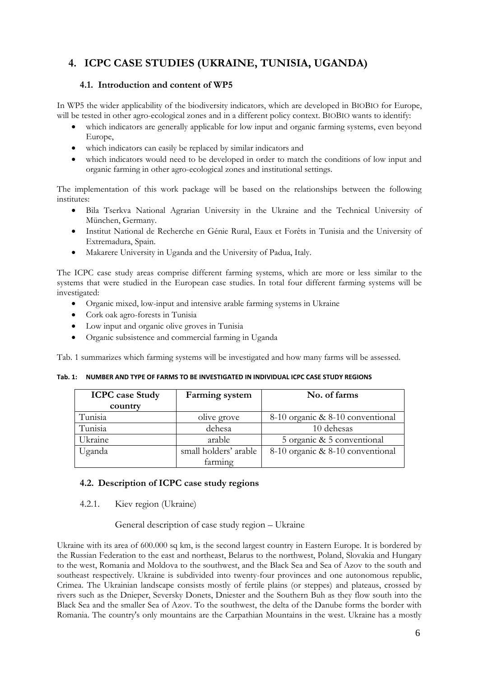# <span id="page-6-0"></span>**4. ICPC CASE STUDIES (UKRAINE, TUNISIA, UGANDA)**

### **4.1. Introduction and content of WP5**

<span id="page-6-1"></span>In WP5 the wider applicability of the biodiversity indicators, which are developed in BIOBIO for Europe, will be tested in other agro-ecological zones and in a different policy context. BIOBIO wants to identify:

- which indicators are generally applicable for low input and organic farming systems, even beyond Europe,
- which indicators can easily be replaced by similar indicators and
- which indicators would need to be developed in order to match the conditions of low input and organic farming in other agro-ecological zones and institutional settings.

The implementation of this work package will be based on the relationships between the following institutes:

- Bila Tserkva National Agrarian University in the Ukraine and the Technical University of München, Germany.
- Institut National de Recherche en Génie Rural, Eaux et Forêts in Tunisia and the University of Extremadura, Spain.
- Makarere University in Uganda and the University of Padua, Italy.

The ICPC case study areas comprise different farming systems, which are more or less similar to the systems that were studied in the European case studies. In total four different farming systems will be investigated:

- Organic mixed, low-input and intensive arable farming systems in Ukraine
- Cork oak agro-forests in Tunisia
- Low input and organic olive groves in Tunisia
- Organic subsistence and commercial farming in Uganda

[Tab. 1](#page-6-3) summarizes which farming systems will be investigated and how many farms will be assessed.

| <b>ICPC</b> case Study<br>country | <b>Farming</b> system | No. of farms                     |
|-----------------------------------|-----------------------|----------------------------------|
| Tunisia                           | olive grove           | 8-10 organic & 8-10 conventional |
| Tunisia                           | dehesa                | 10 dehesas                       |
| Ukraine                           | arable                | 5 organic & 5 conventional       |
| Uganda                            | small holders' arable | 8-10 organic & 8-10 conventional |
|                                   | farming               |                                  |

<span id="page-6-3"></span>**Tab. 1: NUMBER AND TYPE OF FARMS TO BE INVESTIGATED IN INDIVIDUAL ICPC CASE STUDY REGIONS**

### <span id="page-6-2"></span>**4.2. Description of ICPC case study regions**

4.2.1. Kiev region (Ukraine)

General description of case study region – Ukraine

Ukraine with its area of 600.000 sq km, is the second largest country in Eastern Europe. It is bordered by the Russian Federation to the east and northeast, Belarus to the northwest, Poland, Slovakia and Hungary to the west, Romania and Moldova to the southwest, and the Black Sea and Sea of Azov to the south and southeast respectively. Ukraine is subdivided into twenty-four provinces and one autonomous republic, Crimea. The Ukrainian landscape consists mostly of fertile plains (or steppes) and plateaus, crossed by rivers such as the Dnieper, Seversky Donets, Dniester and the Southern Buh as they flow south into the Black Sea and the smaller Sea of Azov. To the southwest, the delta of the Danube forms the border with Romania. The country's only mountains are the Carpathian Mountains in the west. Ukraine has a mostly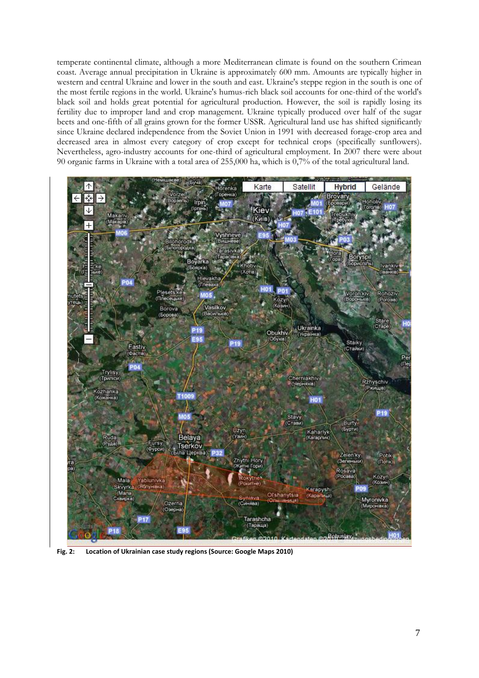temperate continental climate, although a more Mediterranean climate is found on the southern Crimean coast. Average annual precipitation in Ukraine is approximately 600 mm. Amounts are typically higher in western and central Ukraine and lower in the south and east. Ukraine's steppe region in the south is one of the most fertile regions in the world. Ukraine's humus-rich black soil accounts for one-third of the world's black soil and holds great potential for agricultural production. However, the soil is rapidly losing its fertility due to improper land and crop management. Ukraine typically produced over half of the sugar beets and one-fifth of all grains grown for the former USSR. Agricultural land use has shifted significantly since Ukraine declared independence from the Soviet Union in 1991 with decreased forage-crop area and decreased area in almost every category of crop except for technical crops (specifically sunflowers). Nevertheless, agro-industry accounts for one-third of agricultural employment. In 2007 there were about 90 organic farms in Ukraine with a total area of 255,000 ha, which is 0,7% of the total agricultural land.



**Fig. 2: Location of Ukrainian case study regions (Source: Google Maps 2010)**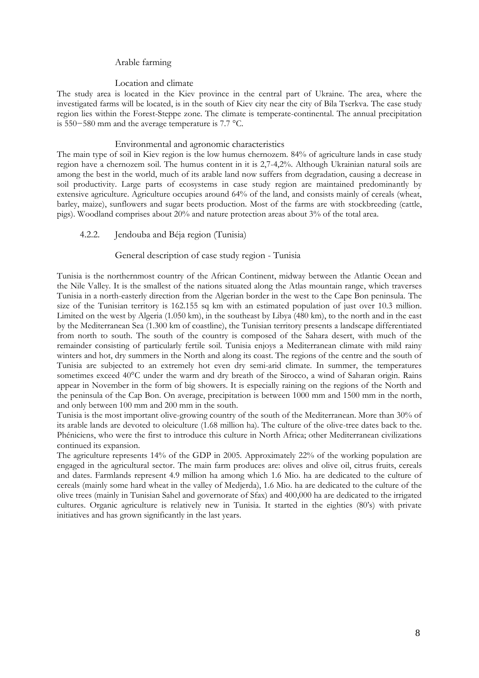### Arable farming

#### Location and climate

The study area is located in the Kiev province in the central part of Ukraine. The area, where the investigated farms will be located, is in the south of Kiev city near the city of Bila Tserkva. The case study region lies within the Forest-Steppe zone. The climate is temperate-continental. The annual precipitation is 550−580 mm and the average temperature is 7.7 °C.

#### Environmental and agronomic characteristics

The main type of soil in Kiev region is the low humus chernozem. 84% of agriculture lands in case study region have a chernozem soil. The humus content in it is 2,7-4,2%. Although Ukrainian natural soils are among the best in the world, much of its arable land now suffers from degradation, causing a decrease in soil productivity. Large parts of ecosystems in case study region are maintained predominantly by extensive agriculture. Agriculture occupies around 64% of the land, and consists mainly of cereals (wheat, barley, maize), sunflowers and sugar beets production. Most of the farms are with stockbreeding (cattle, pigs). Woodland comprises about 20% and nature protection areas about 3% of the total area.

### 4.2.2. Jendouba and Béja region (Tunisia)

#### General description of case study region - Tunisia

Tunisia is the northernmost country of the African Continent, midway between the Atlantic Ocean and the Nile Valley. It is the smallest of the nations situated along the Atlas mountain range, which traverses Tunisia in a north-easterly direction from the Algerian border in the west to the Cape Bon peninsula. The size of the Tunisian territory is 162.155 sq km with an estimated population of just over 10.3 million. Limited on the west by Algeria (1.050 km), in the southeast by Libya (480 km), to the north and in the east by the Mediterranean Sea (1.300 km of coastline), the Tunisian territory presents a landscape differentiated from north to south. The south of the country is composed of the Sahara desert, with much of the remainder consisting of particularly fertile soil. Tunisia enjoys a Mediterranean climate with mild rainy winters and hot, dry summers in the North and along its coast. The regions of the centre and the south of Tunisia are subjected to an extremely hot even dry semi-arid climate. In summer, the temperatures sometimes exceed 40°C under the warm and dry breath of the Sirocco, a wind of Saharan origin. Rains appear in November in the form of big showers. It is especially raining on the regions of the North and the peninsula of the Cap Bon. On average, precipitation is between 1000 mm and 1500 mm in the north, and only between 100 mm and 200 mm in the south.

Tunisia is the most important olive-growing country of the south of the Mediterranean. More than 30% of its arable lands are devoted to oleiculture (1.68 million ha). The culture of the olive-tree dates back to the. Phéniciens, who were the first to introduce this culture in North Africa; other Mediterranean civilizations continued its expansion.

The agriculture represents 14% of the GDP in 2005. Approximately 22% of the working population are engaged in the agricultural sector. The main farm produces are: olives and olive oil, citrus fruits, cereals and dates. Farmlands represent 4.9 million ha among which 1.6 Mio. ha are dedicated to the culture of cereals (mainly some hard wheat in the valley of Medjerda), 1.6 Mio. ha are dedicated to the culture of the olive trees (mainly in Tunisian Sahel and governorate of Sfax) and 400,000 ha are dedicated to the irrigated cultures. Organic agriculture is relatively new in Tunisia. It started in the eighties (80"s) with private initiatives and has grown significantly in the last years.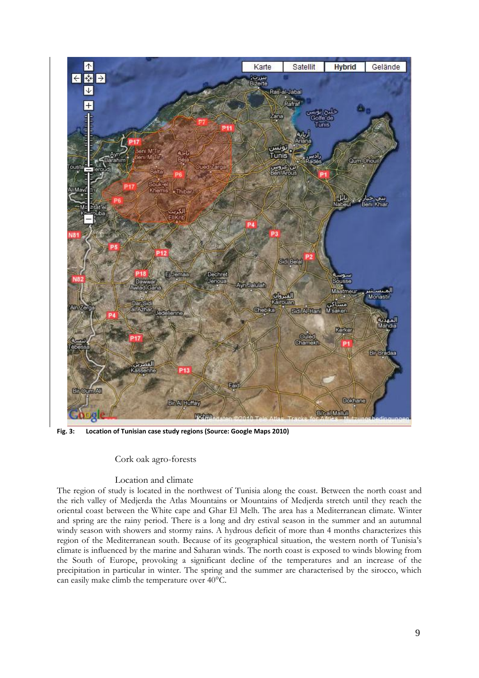

**Fig. 3: Location of Tunisian case study regions (Source: Google Maps 2010)**

### Cork oak agro-forests

### Location and climate

The region of study is located in the northwest of Tunisia along the coast. Between the north coast and the rich valley of Medjerda the Atlas Mountains or Mountains of Medjerda stretch until they reach the oriental coast between the White cape and Ghar El Melh. The area has a Mediterranean climate. Winter and spring are the rainy period. There is a long and dry estival season in the summer and an autumnal windy season with showers and stormy rains. A hydrous deficit of more than 4 months characterizes this region of the Mediterranean south. Because of its geographical situation, the western north of Tunisia"s climate is influenced by the marine and Saharan winds. The north coast is exposed to winds blowing from the South of Europe, provoking a significant decline of the temperatures and an increase of the precipitation in particular in winter. The spring and the summer are characterised by the sirocco, which can easily make climb the temperature over 40°C.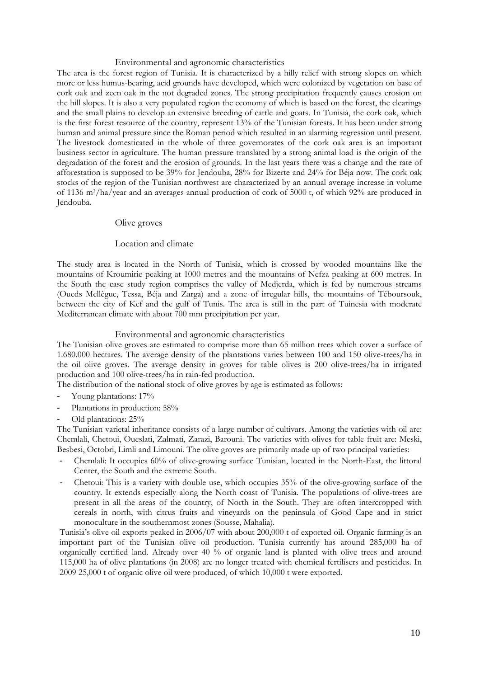#### Environmental and agronomic characteristics

The area is the forest region of Tunisia. It is characterized by a hilly relief with strong slopes on which more or less humus-bearing, acid grounds have developed, which were colonized by vegetation on base of cork oak and zeen oak in the not degraded zones. The strong precipitation frequently causes erosion on the hill slopes. It is also a very populated region the economy of which is based on the forest, the clearings and the small plains to develop an extensive breeding of cattle and goats. In Tunisia, the cork oak, which is the first forest resource of the country, represent 13% of the Tunisian forests. It has been under strong human and animal pressure since the Roman period which resulted in an alarming regression until present. The livestock domesticated in the whole of three governorates of the cork oak area is an important business sector in agriculture. The human pressure translated by a strong animal load is the origin of the degradation of the forest and the erosion of grounds. In the last years there was a change and the rate of afforestation is supposed to be 39% for Jendouba, 28% for Bizerte and 24% for Béja now. The cork oak stocks of the region of the Tunisian northwest are characterized by an annual average increase in volume of 1136 m3/ha/year and an averages annual production of cork of 5000 t, of which 92% are produced in Jendouba.

#### Olive groves

#### Location and climate

The study area is located in the North of Tunisia, which is crossed by wooded mountains like the mountains of Kroumirie peaking at 1000 metres and the mountains of Nefza peaking at 600 metres. In the South the case study region comprises the valley of Medjerda, which is fed by numerous streams (Oueds Mellègue, Tessa, Béja and Zarga) and a zone of irregular hills, the mountains of Téboursouk, between the city of Kef and the gulf of Tunis. The area is still in the part of Tuinesia with moderate Mediterranean climate with about 700 mm precipitation per year.

#### Environmental and agronomic characteristics

The Tunisian olive groves are estimated to comprise more than 65 million trees which cover a surface of 1.680.000 hectares. The average density of the plantations varies between 100 and 150 olive-trees/ha in the oil olive groves. The average density in groves for table olives is 200 olive-trees/ha in irrigated production and 100 olive-trees/ha in rain-fed production.

The distribution of the national stock of olive groves by age is estimated as follows:

- Young plantations:  $17\%$
- Plantations in production: 58%
- Old plantations: 25%

The Tunisian varietal inheritance consists of a large number of cultivars. Among the varieties with oil are: Chemlali, Chetoui, Oueslati, Zalmati, Zarazi, Barouni. The varieties with olives for table fruit are: Meski, Besbesi, Octobri, Limli and Limouni. The olive groves are primarily made up of two principal varieties:

- Chemlali: It occupies 60% of olive-growing surface Tunisian, located in the North-East, the littoral Center, the South and the extreme South.
- Chetoui: This is a variety with double use, which occupies 35% of the olive-growing surface of the country. It extends especially along the North coast of Tunisia. The populations of olive-trees are present in all the areas of the country, of North in the South. They are often intercropped with cereals in north, with citrus fruits and vineyards on the peninsula of Good Cape and in strict monoculture in the southernmost zones (Sousse, Mahalia).

Tunisia"s olive oil exports peaked in 2006/07 with about 200,000 t of exported oil. Organic farming is an important part of the Tunisian olive oil production. Tunisia currently has around 285,000 ha of organically certified land. Already over 40 % of organic land is planted with olive trees and around 115,000 ha of olive plantations (in 2008) are no longer treated with chemical fertilisers and pesticides. In 2009 25,000 t of organic olive oil were produced, of which 10,000 t were exported.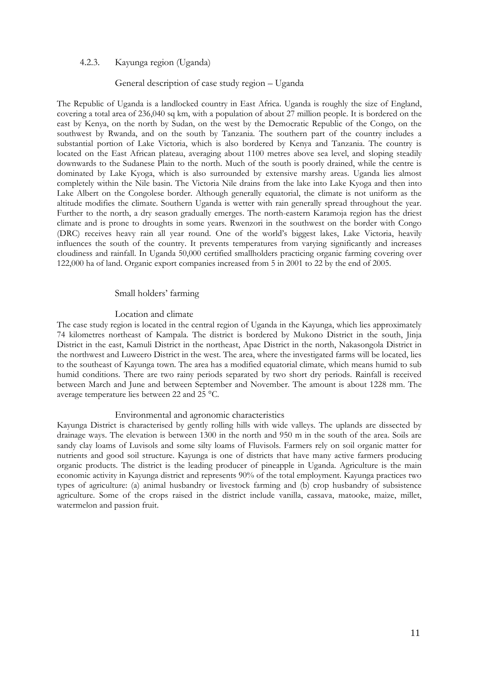### 4.2.3. Kayunga region (Uganda)

### General description of case study region – Uganda

The Republic of Uganda is a landlocked country in East Africa. Uganda is roughly the size of England, covering a total area of 236,040 sq km, with a population of about 27 million people. It is bordered on the east by Kenya, on the north by Sudan, on the west by the Democratic Republic of the Congo, on the southwest by Rwanda, and on the south by Tanzania. The southern part of the country includes a substantial portion of Lake Victoria, which is also bordered by Kenya and Tanzania. The country is located on the East African plateau, averaging about 1100 metres above sea level, and sloping steadily downwards to the Sudanese Plain to the north. Much of the south is poorly drained, while the centre is dominated by Lake Kyoga, which is also surrounded by extensive marshy areas. Uganda lies almost completely within the Nile basin. The Victoria Nile drains from the lake into Lake Kyoga and then into Lake Albert on the Congolese border. Although generally equatorial, the climate is not uniform as the altitude modifies the climate. Southern Uganda is wetter with rain generally spread throughout the year. Further to the north, a dry season gradually emerges. The north-eastern Karamoja region has the driest climate and is prone to droughts in some years. Rwenzori in the southwest on the border with Congo (DRC) receives heavy rain all year round. One of the world"s biggest lakes, Lake Victoria, heavily influences the south of the country. It prevents temperatures from varying significantly and increases cloudiness and rainfall. In Uganda 50,000 certified smallholders practicing organic farming covering over 122,000 ha of land. Organic export companies increased from 5 in 2001 to 22 by the end of 2005.

#### Small holders' farming

#### Location and climate

The case study region is located in the central region of Uganda in the Kayunga, which lies approximately 74 kilometres northeast of Kampala. The district is bordered by Mukono District in the south, Jinja District in the east, Kamuli District in the northeast, Apac District in the north, Nakasongola District in the northwest and Luweero District in the west. The area, where the investigated farms will be located, lies to the southeast of Kayunga town. The area has a modified equatorial climate, which means humid to sub humid conditions. There are two rainy periods separated by two short dry periods. Rainfall is received between March and June and between September and November. The amount is about 1228 mm. The average temperature lies between 22 and 25 °C.

#### Environmental and agronomic characteristics

Kayunga District is characterised by gently rolling hills with wide valleys. The uplands are dissected by drainage ways. The elevation is between 1300 in the north and 950 m in the south of the area. Soils are sandy clay loams of Luvisols and some silty loams of Fluvisols. Farmers rely on soil organic matter for nutrients and good soil structure. Kayunga is one of districts that have many active farmers producing organic products. The district is the leading producer of pineapple in Uganda. Agriculture is the main economic activity in Kayunga district and represents 90% of the total employment. Kayunga practices two types of agriculture: (a) animal husbandry or livestock farming and (b) crop husbandry of subsistence agriculture. Some of the crops raised in the district include vanilla, cassava, matooke, maize, millet, watermelon and passion fruit.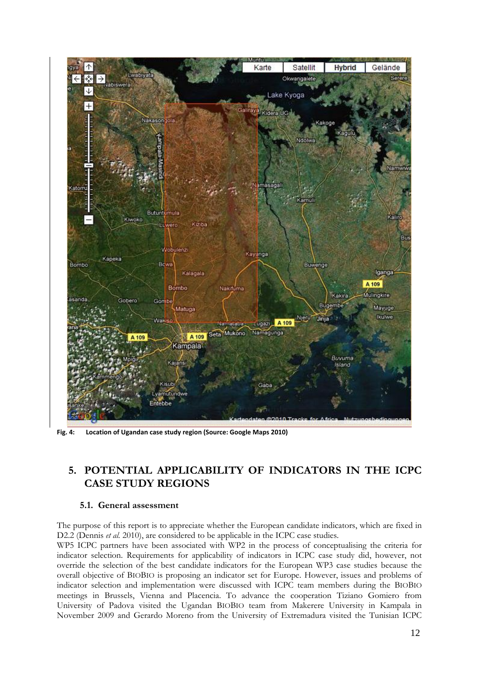

**Fig. 4: Location of Ugandan case study region (Source: Google Maps 2010)**

# <span id="page-12-0"></span>**5. POTENTIAL APPLICABILITY OF INDICATORS IN THE ICPC CASE STUDY REGIONS**

### **5.1. General assessment**

<span id="page-12-1"></span>The purpose of this report is to appreciate whether the European candidate indicators, which are fixed in D2.2 (Dennis *et al.* 2010), are considered to be applicable in the ICPC case studies.

WP5 ICPC partners have been associated with WP2 in the process of conceptualising the criteria for indicator selection. Requirements for applicability of indicators in ICPC case study did, however, not override the selection of the best candidate indicators for the European WP3 case studies because the overall objective of BIOBIO is proposing an indicator set for Europe. However, issues and problems of indicator selection and implementation were discussed with ICPC team members during the BIOBIO meetings in Brussels, Vienna and Placencia. To advance the cooperation Tiziano Gomiero from University of Padova visited the Ugandan BIOBIO team from Makerere University in Kampala in November 2009 and Gerardo Moreno from the University of Extremadura visited the Tunisian ICPC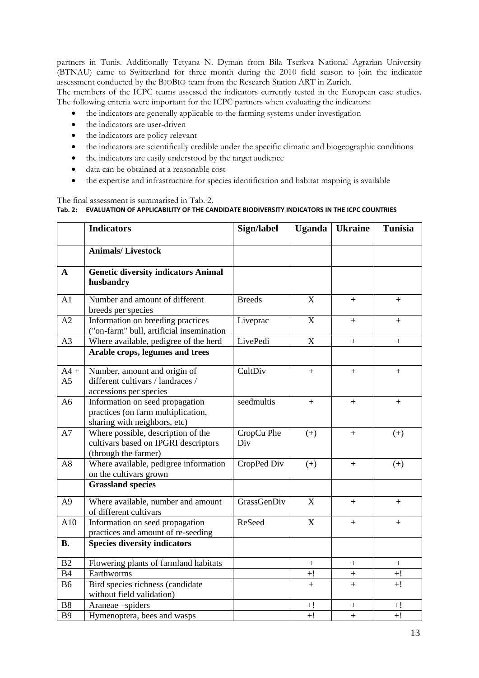partners in Tunis. Additionally Tetyana N. Dyman from Bila Tserkva National Agrarian University (BTNAU) came to Switzerland for three month during the 2010 field season to join the indicator assessment conducted by the BIOBIO team from the Research Station ART in Zurich.

The members of the ICPC teams assessed the indicators currently tested in the European case studies. The following criteria were important for the ICPC partners when evaluating the indicators:

- the indicators are generally applicable to the farming systems under investigation
- the indicators are user-driven
- the indicators are policy relevant
- the indicators are scientifically credible under the specific climatic and biogeographic conditions
- the indicators are easily understood by the target audience
- data can be obtained at a reasonable cost
- the expertise and infrastructure for species identification and habitat mapping is available

### <span id="page-13-0"></span>The final assessment is summarised in [Tab. 2.](#page-13-0) **Tab. 2: EVALUATION OF APPLICABILITY OF THE CANDIDATE BIODIVERSITY INDICATORS IN THE ICPC COUNTRIES**

|                          | <b>Indicators</b>                                                                                     | Sign/label        | <b>Uganda</b> | <b>Ukraine</b> | <b>Tunisia</b> |
|--------------------------|-------------------------------------------------------------------------------------------------------|-------------------|---------------|----------------|----------------|
|                          | <b>Animals/Livestock</b>                                                                              |                   |               |                |                |
| A                        | <b>Genetic diversity indicators Animal</b><br>husbandry                                               |                   |               |                |                |
| A1                       | Number and amount of different<br>breeds per species                                                  | <b>Breeds</b>     | X             | $+$            | $+$            |
| A2                       | Information on breeding practices<br>("on-farm" bull, artificial insemination                         | Liveprac          | X             | $+$            | $+$            |
| A <sub>3</sub>           | Where available, pedigree of the herd                                                                 | LivePedi          | $\mathbf X$   | $+$            | $+$            |
|                          | Arable crops, legumes and trees                                                                       |                   |               |                |                |
| $A4 +$<br>A <sub>5</sub> | Number, amount and origin of<br>different cultivars / landraces /<br>accessions per species           | CultDiv           | $+$           | $+$            | $+$            |
| A <sub>6</sub>           | Information on seed propagation<br>practices (on farm multiplication,<br>sharing with neighbors, etc) | seedmultis        | $+$           | $+$            | $+$            |
| A7                       | Where possible, description of the<br>cultivars based on IPGRI descriptors<br>(through the farmer)    | CropCu Phe<br>Div | $(+)$         | $^{+}$         | $(+)$          |
| A8                       | Where available, pedigree information<br>on the cultivars grown                                       | CropPed Div       | $(+)$         | $+$            | $(+)$          |
|                          | <b>Grassland species</b>                                                                              |                   |               |                |                |
| A <sub>9</sub>           | Where available, number and amount<br>of different cultivars                                          | GrassGenDiv       | X             | $+$            | $+$            |
| A10                      | Information on seed propagation<br>practices and amount of re-seeding                                 | ReSeed            | $\mathbf X$   | $+$            | $+$            |
| <b>B.</b>                | <b>Species diversity indicators</b>                                                                   |                   |               |                |                |
| B2                       | Flowering plants of farmland habitats                                                                 |                   | $+$           |                | $^{+}$         |
| <b>B4</b>                | Earthworms                                                                                            |                   | $+!$          | $\ddot{}$      | $+!$           |
| <b>B6</b>                | Bird species richness (candidate<br>without field validation)                                         |                   | $+$           | $+$            | $+!$           |
| <b>B8</b>                | Araneae-spiders                                                                                       |                   | $+!$          | $^{+}$         | $+!$           |
| <b>B9</b>                | Hymenoptera, bees and wasps                                                                           |                   | $+!$          | $\ddot{}$      | $+!$           |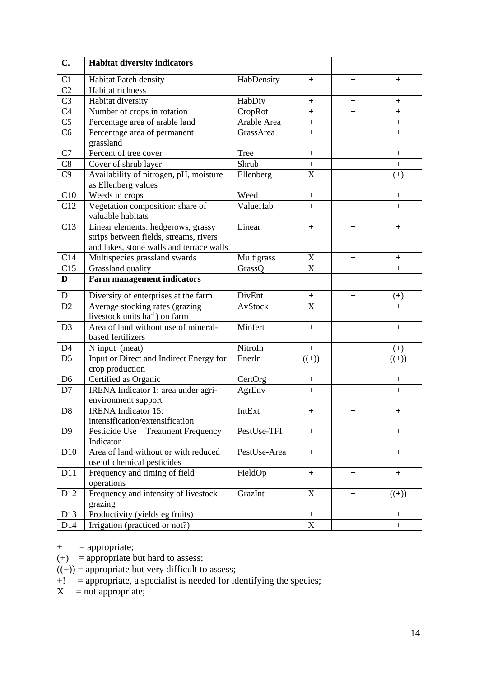| $C_{\bullet}$   | <b>Habitat diversity indicators</b>                                                                                      |              |                         |                   |                  |
|-----------------|--------------------------------------------------------------------------------------------------------------------------|--------------|-------------------------|-------------------|------------------|
| C <sub>1</sub>  | Habitat Patch density                                                                                                    | HabDensity   | $\boldsymbol{+}$        | $+$               | $\boldsymbol{+}$ |
| C <sub>2</sub>  | Habitat richness                                                                                                         |              |                         |                   |                  |
| C <sub>3</sub>  | Habitat diversity                                                                                                        | HabDiv       | $\boldsymbol{+}$        | $\boldsymbol{+}$  | $\pm$            |
| C <sub>4</sub>  | Number of crops in rotation                                                                                              | CropRot      | $+$                     | $^{+}$            | $^{+}$           |
| C <sub>5</sub>  | Percentage area of arable land                                                                                           | Arable Area  | $+$                     |                   | $\boldsymbol{+}$ |
| C <sub>6</sub>  | Percentage area of permanent<br>grassland                                                                                | GrassArea    | $+$                     | $\ddot{}$         | $+$              |
| C7              | Percent of tree cover                                                                                                    | <b>Tree</b>  |                         | $\boldsymbol{+}$  | $\boldsymbol{+}$ |
| C8              | Cover of shrub layer                                                                                                     | Shrub        |                         | $\! + \!$         |                  |
| C <sub>9</sub>  | Availability of nitrogen, pH, moisture<br>as Ellenberg values                                                            | Ellenberg    | $\frac{+}{X}$           | $+$               | $(+)$            |
| C10             | Weeds in crops                                                                                                           | Weed         | $\boldsymbol{+}$        |                   |                  |
| C12             | Vegetation composition: share of<br>valuable habitats                                                                    | ValueHab     | $+$                     | $+$               | $+$              |
| C13             | Linear elements: hedgerows, grassy<br>strips between fields, streams, rivers<br>and lakes, stone walls and terrace walls | Linear       | $+$                     | $+$               | $\boldsymbol{+}$ |
| C14             | Multispecies grassland swards                                                                                            | Multigrass   | $\mathbf X$             | $+$               | $+$              |
| C15             | Grassland quality                                                                                                        | GrassQ       | X                       | $\qquad \qquad +$ | $+$              |
| D               | <b>Farm management indicators</b>                                                                                        |              |                         |                   |                  |
| D1              | Diversity of enterprises at the farm                                                                                     | DivEnt       | $^{+}$                  | $^{+}$            | $^{(+)}$         |
| D2              | Average stocking rates (grazing<br>livestock units ha <sup>-1</sup> ) on farm                                            | AvStock      | $\overline{\mathbf{X}}$ | $\ddot{}$         | $+$              |
| D <sub>3</sub>  | Area of land without use of mineral-<br>based fertilizers                                                                | Minfert      | $+$                     | $+$               | $+$              |
| D <sub>4</sub>  | N input (meat)                                                                                                           | NitroIn      | $\boldsymbol{+}$        |                   | $^{(+)}$         |
| D <sub>5</sub>  | Input or Direct and Indirect Energy for<br>crop production                                                               | Enerln       | $((+)$                  | $+$               | $((+)$           |
| D <sub>6</sub>  | Certified as Organic                                                                                                     | CertOrg      | $+$                     | $+$               |                  |
| D7              | IRENA Indicator 1: area under agri-<br>environment support                                                               | AgrEnv       | $+$                     | $+$               | $+$              |
| D <sub>8</sub>  | <b>IRENA</b> Indicator 15:<br>intensification/extensification                                                            | IntExt       | $+$                     | $\boldsymbol{+}$  | $\boldsymbol{+}$ |
| D <sub>9</sub>  | Pesticide Use - Treatment Frequency<br>Indicator                                                                         | PestUse-TFI  | $+$                     | $+$               | $+$              |
| D10             | Area of land without or with reduced<br>use of chemical pesticides                                                       | PestUse-Area | $+$                     | $+$               | $+$              |
| D11             | Frequency and timing of field<br>operations                                                                              | FieldOp      | $+$                     | $+$               | $+$              |
| D12             | Frequency and intensity of livestock<br>grazing                                                                          | GrazInt      | $\mathbf X$             | $+$               | $((+)$           |
| D13             | Productivity (yields eg fruits)                                                                                          |              |                         |                   | $+$              |
| D <sub>14</sub> | Irrigation (practiced or not?)                                                                                           |              | $\overline{\mathbf{X}}$ | $\boldsymbol{+}$  | $\boldsymbol{+}$ |

- $+$  = appropriate;
- $(+)$  = appropriate but hard to assess;
- $((+))$  = appropriate but very difficult to assess;
- $+!$  = appropriate, a specialist is needed for identifying the species;
- $X = not appropriate;$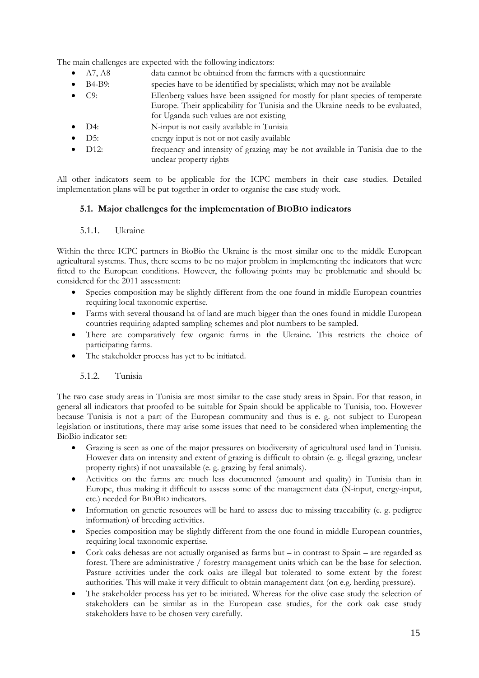The main challenges are expected with the following indicators:

- A7, A8 data cannot be obtained from the farmers with a questionnaire
- B4-B9: species have to be identified by specialists; which may not be available
- C9: Ellenberg values have been assigned for mostly for plant species of temperate Europe. Their applicability for Tunisia and the Ukraine needs to be evaluated, for Uganda such values are not existing
- D4: N-input is not easily available in Tunisia
- D5: energy input is not or not easily available
- D12: frequency and intensity of grazing may be not available in Tunisia due to the unclear property rights

All other indicators seem to be applicable for the ICPC members in their case studies. Detailed implementation plans will be put together in order to organise the case study work.

# <span id="page-15-0"></span>**5.1. Major challenges for the implementation of BIOBIO indicators**

### 5.1.1. Ukraine

Within the three ICPC partners in BioBio the Ukraine is the most similar one to the middle European agricultural systems. Thus, there seems to be no major problem in implementing the indicators that were fitted to the European conditions. However, the following points may be problematic and should be considered for the 2011 assessment:

- Species composition may be slightly different from the one found in middle European countries requiring local taxonomic expertise.
- Farms with several thousand ha of land are much bigger than the ones found in middle European countries requiring adapted sampling schemes and plot numbers to be sampled.
- There are comparatively few organic farms in the Ukraine. This restricts the choice of participating farms.
- The stakeholder process has yet to be initiated.

### 5.1.2. Tunisia

The two case study areas in Tunisia are most similar to the case study areas in Spain. For that reason, in general all indicators that proofed to be suitable for Spain should be applicable to Tunisia, too. However because Tunisia is not a part of the European community and thus is e. g. not subject to European legislation or institutions, there may arise some issues that need to be considered when implementing the BioBio indicator set:

- Grazing is seen as one of the major pressures on biodiversity of agricultural used land in Tunisia. However data on intensity and extent of grazing is difficult to obtain (e. g. illegal grazing, unclear property rights) if not unavailable (e. g. grazing by feral animals).
- Activities on the farms are much less documented (amount and quality) in Tunisia than in Europe, thus making it difficult to assess some of the management data (N-input, energy-input, etc.) needed for BIOBIO indicators.
- Information on genetic resources will be hard to assess due to missing traceability (e. g. pedigree information) of breeding activities.
- Species composition may be slightly different from the one found in middle European countries, requiring local taxonomic expertise.
- Cork oaks dehesas are not actually organised as farms but in contrast to Spain are regarded as forest. There are administrative / forestry management units which can be the base for selection. Pasture activities under the cork oaks are illegal but tolerated to some extent by the forest authorities. This will make it very difficult to obtain management data (on e.g. herding pressure).
- The stakeholder process has yet to be initiated. Whereas for the olive case study the selection of stakeholders can be similar as in the European case studies, for the cork oak case study stakeholders have to be chosen very carefully.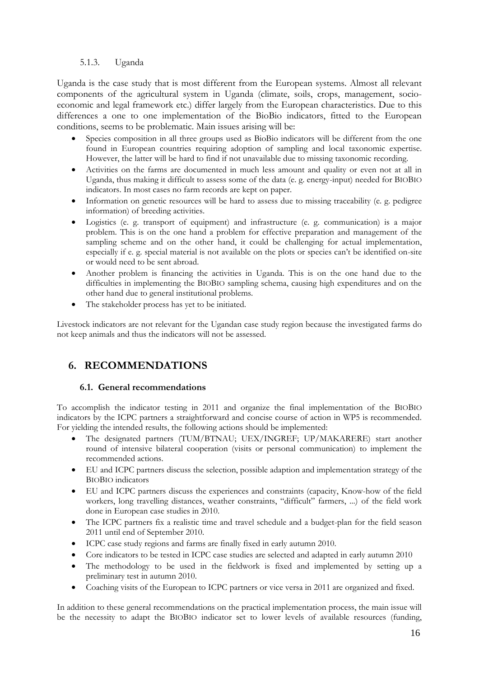# 5.1.3. Uganda

Uganda is the case study that is most different from the European systems. Almost all relevant components of the agricultural system in Uganda (climate, soils, crops, management, socioeconomic and legal framework etc.) differ largely from the European characteristics. Due to this differences a one to one implementation of the BioBio indicators, fitted to the European conditions, seems to be problematic. Main issues arising will be:

- Species composition in all three groups used as BioBio indicators will be different from the one found in European countries requiring adoption of sampling and local taxonomic expertise. However, the latter will be hard to find if not unavailable due to missing taxonomic recording.
- Activities on the farms are documented in much less amount and quality or even not at all in Uganda, thus making it difficult to assess some of the data (e. g. energy-input) needed for BIOBIO indicators. In most cases no farm records are kept on paper.
- Information on genetic resources will be hard to assess due to missing traceability (e. g. pedigree information) of breeding activities.
- Logistics (e. g. transport of equipment) and infrastructure (e. g. communication) is a major problem. This is on the one hand a problem for effective preparation and management of the sampling scheme and on the other hand, it could be challenging for actual implementation, especially if e. g. special material is not available on the plots or species can"t be identified on-site or would need to be sent abroad.
- Another problem is financing the activities in Uganda. This is on the one hand due to the difficulties in implementing the BIOBIO sampling schema, causing high expenditures and on the other hand due to general institutional problems.
- The stakeholder process has yet to be initiated.

Livestock indicators are not relevant for the Ugandan case study region because the investigated farms do not keep animals and thus the indicators will not be assessed.

# <span id="page-16-0"></span>**6. RECOMMENDATIONS**

## **6.1. General recommendations**

<span id="page-16-1"></span>To accomplish the indicator testing in 2011 and organize the final implementation of the BIOBIO indicators by the ICPC partners a straightforward and concise course of action in WP5 is recommended. For yielding the intended results, the following actions should be implemented:

- The designated partners (TUM/BTNAU; UEX/INGREF; UP/MAKARERE) start another round of intensive bilateral cooperation (visits or personal communication) to implement the recommended actions.
- EU and ICPC partners discuss the selection, possible adaption and implementation strategy of the BIOBIO indicators
- EU and ICPC partners discuss the experiences and constraints (capacity, Know-how of the field workers, long travelling distances, weather constraints, "difficult" farmers, ...) of the field work done in European case studies in 2010.
- The ICPC partners fix a realistic time and travel schedule and a budget-plan for the field season 2011 until end of September 2010.
- ICPC case study regions and farms are finally fixed in early autumn 2010.
- Core indicators to be tested in ICPC case studies are selected and adapted in early autumn 2010
- The methodology to be used in the fieldwork is fixed and implemented by setting up a preliminary test in autumn 2010.
- Coaching visits of the European to ICPC partners or vice versa in 2011 are organized and fixed.

In addition to these general recommendations on the practical implementation process, the main issue will be the necessity to adapt the BIOBIO indicator set to lower levels of available resources (funding,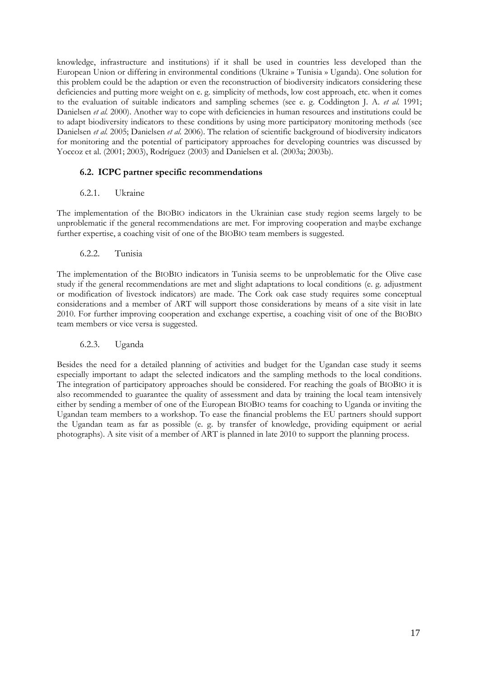knowledge, infrastructure and institutions) if it shall be used in countries less developed than the European Union or differing in environmental conditions (Ukraine » Tunisia » Uganda). One solution for this problem could be the adaption or even the reconstruction of biodiversity indicators considering these deficiencies and putting more weight on e. g. simplicity of methods, low cost approach, etc. when it comes to the evaluation of suitable indicators and sampling schemes (see e. g. Coddington J. A. *et al.* 1991; Danielsen *et al.* 2000). Another way to cope with deficiencies in human resources and institutions could be to adapt biodiversity indicators to these conditions by using more participatory monitoring methods (see Danielsen *et al.* 2005; Danielsen *et al.* 2006). The relation of scientific background of biodiversity indicators for monitoring and the potential of participatory approaches for developing countries was discussed by Yoccoz et al. (2001; 2003), Rodríguez (2003) and Danielsen et al. (2003a; 2003b).

# <span id="page-17-0"></span>**6.2. ICPC partner specific recommendations**

## 6.2.1. Ukraine

The implementation of the BIOBIO indicators in the Ukrainian case study region seems largely to be unproblematic if the general recommendations are met. For improving cooperation and maybe exchange further expertise, a coaching visit of one of the BIOBIO team members is suggested.

### 6.2.2. Tunisia

The implementation of the BIOBIO indicators in Tunisia seems to be unproblematic for the Olive case study if the general recommendations are met and slight adaptations to local conditions (e. g. adjustment or modification of livestock indicators) are made. The Cork oak case study requires some conceptual considerations and a member of ART will support those considerations by means of a site visit in late 2010. For further improving cooperation and exchange expertise, a coaching visit of one of the BIOBIO team members or vice versa is suggested.

## 6.2.3. Uganda

<span id="page-17-1"></span>Besides the need for a detailed planning of activities and budget for the Ugandan case study it seems especially important to adapt the selected indicators and the sampling methods to the local conditions. The integration of participatory approaches should be considered. For reaching the goals of BIOBIO it is also recommended to guarantee the quality of assessment and data by training the local team intensively either by sending a member of one of the European BIOBIO teams for coaching to Uganda or inviting the Ugandan team members to a workshop. To ease the financial problems the EU partners should support the Ugandan team as far as possible (e. g. by transfer of knowledge, providing equipment or aerial photographs). A site visit of a member of ART is planned in late 2010 to support the planning process.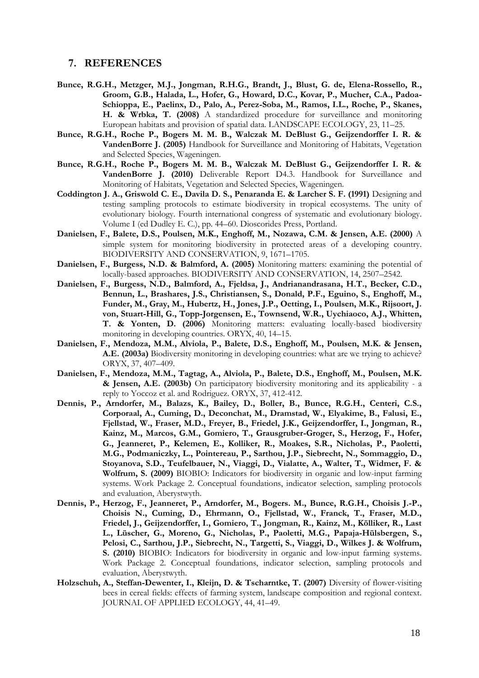### **7. REFERENCES**

- **Bunce, R.G.H., Metzger, M.J., Jongman, R.H.G., Brandt, J., Blust, G. de, Elena-Rossello, R., Groom, G.B., Halada, L., Hofer, G., Howard, D.C., Kovar, P., Mucher, C.A., Padoa-Schioppa, E., Paelinx, D., Palo, A., Perez-Soba, M., Ramos, I.L., Roche, P., Skanes, H. & Wrbka, T. (2008)** A standardized procedure for surveillance and monitoring European habitats and provision of spatial data. LANDSCAPE ECOLOGY, 23, 11–25.
- **Bunce, R.G.H., Roche P., Bogers M. M. B., Walczak M. DeBlust G., Geijzendorffer I. R. & VandenBorre J. (2005)** Handbook for Surveillance and Monitoring of Habitats, Vegetation and Selected Species, Wageningen.
- **Bunce, R.G.H., Roche P., Bogers M. M. B., Walczak M. DeBlust G., Geijzendorffer I. R. & VandenBorre J. (2010)** Deliverable Report D4.3. Handbook for Surveillance and Monitoring of Habitats, Vegetation and Selected Species, Wageningen.
- **Coddington J. A., Griswold C. E., Davila D. S., Penaranda E. & Larcher S. F. (1991)** Designing and testing sampling protocols to estimate biodiversity in tropical ecosystems. The unity of evolutionary biology. Fourth international congress of systematic and evolutionary biology. Volume I (ed Dudley E. C.), pp. 44–60. Dioscorides Press, Portland.
- **Danielsen, F., Balete, D.S., Poulsen, M.K., Enghoff, M., Nozawa, C.M. & Jensen, A.E. (2000)** A simple system for monitoring biodiversity in protected areas of a developing country. BIODIVERSITY AND CONSERVATION, 9, 1671–1705.
- **Danielsen, F., Burgess, N.D. & Balmford, A. (2005)** Monitoring matters: examining the potential of locally-based approaches. BIODIVERSITY AND CONSERVATION, 14, 2507–2542.
- **Danielsen, F., Burgess, N.D., Balmford, A., Fjeldsa, J., Andrianandrasana, H.T., Becker, C.D., Bennun, L., Brashares, J.S., Christiansen, S., Donald, P.F., Eguino, S., Enghoff, M., Funder, M., Gray, M., Hubertz, H., Jones, J.P., Oetting, I., Poulsen, M.K., Rijsoort, J. von, Stuart-Hill, G., Topp-Jorgensen, E., Townsend, W.R., Uychiaoco, A.J., Whitten, T. & Yonten, D. (2006)** Monitoring matters: evaluating locally-based biodiversity monitoring in developing countries. ORYX, 40, 14–15.
- **Danielsen, F., Mendoza, M.M., Alviola, P., Balete, D.S., Enghoff, M., Poulsen, M.K. & Jensen, A.E. (2003a)** Biodiversity monitoring in developing countries: what are we trying to achieve? ORYX, 37, 407–409.
- **Danielsen, F., Mendoza, M.M., Tagtag, A., Alviola, P., Balete, D.S., Enghoff, M., Poulsen, M.K. & Jensen, A.E. (2003b)** On participatory biodiversity monitoring and its applicability - a reply to Yoccoz et al. and Rodriguez. ORYX, 37, 412-412.
- **Dennis, P., Arndorfer, M., Balazs, K., Bailey, D., Boller, B., Bunce, R.G.H., Centeri, C.S., Corporaal, A., Cuming, D., Deconchat, M., Dramstad, W., Elyakime, B., Falusi, E., Fjellstad, W., Fraser, M.D., Freyer, B., Friedel, J.K., Geijzendorffer, I., Jongman, R., Kainz, M., Marcos, G.M., Gomiero, T., Grausgruber-Groger, S., Herzog, F., Hofer, G., Jeanneret, P., Kelemen, E., Kolliker, R., Moakes, S.R., Nicholas, P., Paoletti, M.G., Podmaniczky, L., Pointereau, P., Sarthou, J.P., Siebrecht, N., Sommaggio, D., Stoyanova, S.D., Teufelbauer, N., Viaggi, D., Vialatte, A., Walter, T., Widmer, F. & Wolfrum, S. (2009)** BIOBIO: Indicators for biodiversity in organic and low-input farming systems. Work Package 2. Conceptual foundations, indicator selection, sampling protocols and evaluation, Aberystwyth.
- **Dennis, P., Herzog, F., Jeanneret, P., Arndorfer, M., Bogers. M., Bunce, R.G.H., Choisis J.-P., Choisis N., Cuming, D., Ehrmann, O., Fjellstad, W., Franck, T., Fraser, M.D., Friedel, J., Geijzendorffer, I., Gomiero, T., Jongman, R., Kainz, M., Kölliker, R., Last L., Lüscher, G., Moreno, G., Nicholas, P., Paoletti, M.G., Papaja-Hülsbergen, S., Pelosi, C., Sarthou, J.P., Siebrecht, N., Targetti, S., Viaggi, D., Wilkes J. & Wolfrum, S. (2010)** BIOBIO: Indicators for biodiversity in organic and low-input farming systems. Work Package 2. Conceptual foundations, indicator selection, sampling protocols and evaluation, Aberystwyth.
- **Holzschuh, A., Steffan-Dewenter, I., Kleijn, D. & Tscharntke, T. (2007)** Diversity of flower-visiting bees in cereal fields: effects of farming system, landscape composition and regional context. JOURNAL OF APPLIED ECOLOGY, 44, 41–49.